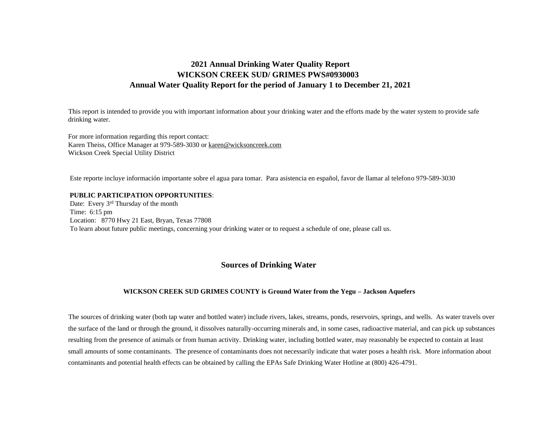# **2021 Annual Drinking Water Quality Report WICKSON CREEK SUD/ GRIMES PWS#0930003 Annual Water Quality Report for the period of January 1 to December 21, 2021**

This report is intended to provide you with important information about your drinking water and the efforts made by the water system to provide safe drinking water.

For more information regarding this report contact: Karen Theiss, Office Manager at 979-589-3030 or karen@wicksoncreek.com Wickson Creek Special Utility District

Este reporte incluye información importante sobre el agua para tomar. Para asistencia en español, favor de llamar al telefono 979-589-3030

#### **PUBLIC PARTICIPATION OPPORTUNITIES**:

Date: Every 3<sup>rd</sup> Thursday of the month Time: 6:15 pm Location: 8770 Hwy 21 East, Bryan, Texas 77808 To learn about future public meetings, concerning your drinking water or to request a schedule of one, please call us.

## **Sources of Drinking Water**

#### **WICKSON CREEK SUD GRIMES COUNTY is Ground Water from the Yegu – Jackson Aquefers**

The sources of drinking water (both tap water and bottled water) include rivers, lakes, streams, ponds, reservoirs, springs, and wells. As water travels over the surface of the land or through the ground, it dissolves naturally-occurring minerals and, in some cases, radioactive material, and can pick up substances resulting from the presence of animals or from human activity. Drinking water, including bottled water, may reasonably be expected to contain at least small amounts of some contaminants. The presence of contaminants does not necessarily indicate that water poses a health risk. More information about contaminants and potential health effects can be obtained by calling the EPAs Safe Drinking Water Hotline at (800) 426-4791.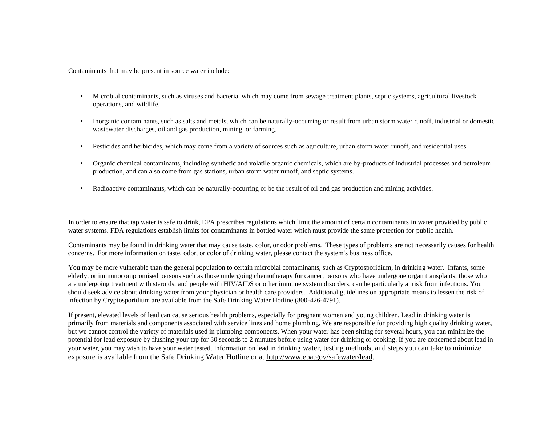Contaminants that may be present in source water include:

- Microbial contaminants, such as viruses and bacteria, which may come from sewage treatment plants, septic systems, agricultural livestock operations, and wildlife.
- Inorganic contaminants, such as salts and metals, which can be naturally-occurring or result from urban storm water runoff, industrial or domestic wastewater discharges, oil and gas production, mining, or farming.
- Pesticides and herbicides, which may come from a variety of sources such as agriculture, urban storm water runoff, and residential uses.
- Organic chemical contaminants, including synthetic and volatile organic chemicals, which are by-products of industrial processes and petroleum production, and can also come from gas stations, urban storm water runoff, and septic systems.
- Radioactive contaminants, which can be naturally-occurring or be the result of oil and gas production and mining activities.

In order to ensure that tap water is safe to drink, EPA prescribes regulations which limit the amount of certain contaminants in water provided by public water systems. FDA regulations establish limits for contaminants in bottled water which must provide the same protection for public health.

Contaminants may be found in drinking water that may cause taste, color, or odor problems. These types of problems are not necessarily causes for health concerns. For more information on taste, odor, or color of drinking water, please contact the system's business office.

You may be more vulnerable than the general population to certain microbial contaminants, such as Cryptosporidium, in drinking water. Infants, some elderly, or immunocompromised persons such as those undergoing chemotherapy for cancer; persons who have undergone organ transplants; those who are undergoing treatment with steroids; and people with HIV/AIDS or other immune system disorders, can be particularly at risk from infections. You should seek advice about drinking water from your physician or health care providers. Additional guidelines on appropriate means to lessen the risk of infection by Cryptosporidium are available from the Safe Drinking Water Hotline (800-426-4791).

If present, elevated levels of lead can cause serious health problems, especially for pregnant women and young children. Lead in drinking water is primarily from materials and components associated with service lines and home plumbing. We are responsible for providing high quality drinking water, but we cannot control the variety of materials used in plumbing components. When your water has been sitting for several hours, you can minimize the potential for lead exposure by flushing your tap for 30 seconds to 2 minutes before using water for drinking or cooking. If you are concerned about lead in your water, you may wish to have your water tested. Information on lead in drinking water, testing methods, and steps you can take to minimize exposure is available from the Safe Drinking Water Hotline or at [http://www.epa.gov/safewater/lead.](http://www.epa.gov/safewater/lead)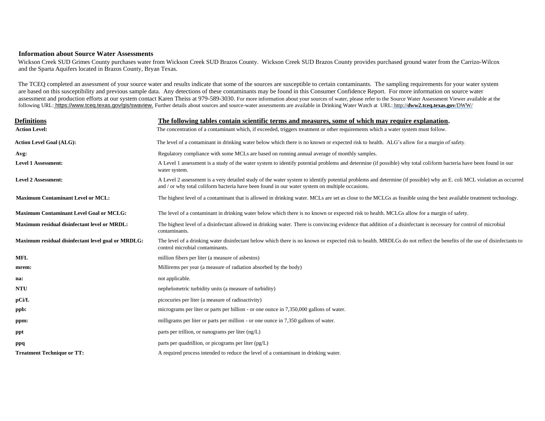#### **Information about Source Water Assessments**

Wickson Creek SUD Grimes County purchases water from Wickson Creek SUD Brazos County. Wickson Creek SUD Brazos County provides purchased ground water from the Carrizo-Wilcox and the Sparta Aquifers located in Brazos County, Bryan Texas.

The TCEQ completed an assessment of your source water and results indicate that some of the sources are susceptible to certain contaminants. The sampling requirements for your water system are based on this susceptibility and previous sample data. Any detections of these contaminants may be found in this Consumer Confidence Report. For more information on source water assessment and production efforts at our system contact Karen Theiss at 979-589-3030. For more information about your sources of water, please refer to the Source Water Assessment Viewer available at the following URL: [https://www.tceq.texas.gov/gis/swaview.](https://www.tceq.texas.gov/gis/swaview) Further details about sources and source-water assessments are available in Drinking Water Watch at URL: [http://](http://dww2.tceq.texas.gov/DWW/)**[dww2.tceq.texas.gov](http://dww2.tceq.texas.gov/DWW/)**[/DWW/](http://dww2.tceq.texas.gov/DWW/) 

| Definitions                                        | The following tables contain scientific terms and measures, some of which may require explanation.                                                                                                                                                                       |
|----------------------------------------------------|--------------------------------------------------------------------------------------------------------------------------------------------------------------------------------------------------------------------------------------------------------------------------|
| <b>Action Level:</b>                               | The concentration of a contaminant which, if exceeded, triggers treatment or other requirements which a water system must follow.                                                                                                                                        |
| <b>Action Level Goal (ALG):</b>                    | The level of a contaminant in drinking water below which there is no known or expected risk to health. ALG's allow for a margin of safety.                                                                                                                               |
| Avg:                                               | Regulatory compliance with some MCLs are based on running annual average of monthly samples.                                                                                                                                                                             |
| <b>Level 1 Assessment:</b>                         | A Level 1 assessment is a study of the water system to identify potential problems and determine (if possible) why total coliform bacteria have been found in our<br>water system.                                                                                       |
| <b>Level 2 Assessment:</b>                         | A Level 2 assessment is a very detailed study of the water system to identify potential problems and determine (if possible) why an E. coli MCL violation as occurred<br>and / or why total coliform bacteria have been found in our water system on multiple occasions. |
| <b>Maximum Contaminant Level or MCL:</b>           | The highest level of a contaminant that is allowed in drinking water. MCLs are set as close to the MCLGs as feasible using the best available treatment technology.                                                                                                      |
| <b>Maximum Contaminant Level Goal or MCLG:</b>     | The level of a contaminant in drinking water below which there is no known or expected risk to health. MCLGs allow for a margin of safety.                                                                                                                               |
| Maximum residual disinfectant level or MRDL:       | The highest level of a disinfectant allowed in drinking water. There is convincing evidence that addition of a disinfectant is necessary for control of microbial<br>contaminants.                                                                                       |
| Maximum residual disinfectant level goal or MRDLG: | The level of a drinking water disinfectant below which there is no known or expected risk to health. MRDLGs do not reflect the benefits of the use of disinfectants to<br>control microbial contaminants.                                                                |
| <b>MFL</b>                                         | million fibers per liter (a measure of asbestos)                                                                                                                                                                                                                         |
| mrem:                                              | Millirems per year (a measure of radiation absorbed by the body)                                                                                                                                                                                                         |
| na:                                                | not applicable.                                                                                                                                                                                                                                                          |
| <b>NTU</b>                                         | nephelometric turbidity units (a measure of turbidity)                                                                                                                                                                                                                   |
| pCi/L                                              | picocuries per liter (a measure of radioactivity)                                                                                                                                                                                                                        |
| ppb:                                               | micrograms per liter or parts per billion - or one ounce in 7,350,000 gallons of water.                                                                                                                                                                                  |
| ppm:                                               | milligrams per liter or parts per million - or one ounce in 7,350 gallons of water.                                                                                                                                                                                      |
| ppt                                                | parts per trillion, or nanograms per liter (ng/L)                                                                                                                                                                                                                        |
| ppq                                                | parts per quadrillion, or picograms per liter $(pg/L)$                                                                                                                                                                                                                   |
| <b>Treatment Technique or TT:</b>                  | A required process intended to reduce the level of a contaminant in drinking water.                                                                                                                                                                                      |